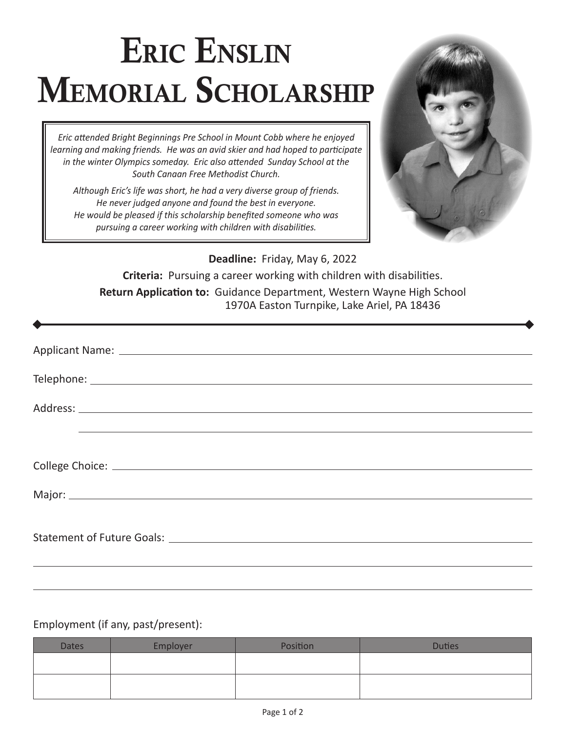## Eric Enslin MEMORIAL SCHOLARSHIP

*Eric attended Bright Beginnings Pre School in Mount Cobb where he enjoyed learning and making friends. He was an avid skier and had hoped to participate in the winter Olympics someday. Eric also attended Sunday School at the South Canaan Free Methodist Church.* 

*Although Eric's life was short, he had a very diverse group of friends. He never judged anyone and found the best in everyone. He would be pleased if this scholarship benefited someone who was pursuing a career working with children with disabilities.* 



**Deadline:** Friday, May 6, 2022

**Criteria:** Pursuing a career working with children with disabilities. **Return Application to:** Guidance Department, Western Wayne High School 1970A Easton Turnpike, Lake Ariel, PA 18436

| Major: National Commission of the Commission of the Commission of the Commission of the Commission of the Commission of the Commission of the Commission of the Commission of the Commission of the Commission of the Commissi |
|--------------------------------------------------------------------------------------------------------------------------------------------------------------------------------------------------------------------------------|
| Statement of Future Goals: North and Statement of Future Goals:                                                                                                                                                                |
|                                                                                                                                                                                                                                |

## Employment (if any, past/present):

| <b>Dates</b> | Employer | Position | <b>Duties</b> |
|--------------|----------|----------|---------------|
|              |          |          |               |
|              |          |          |               |
|              |          |          |               |